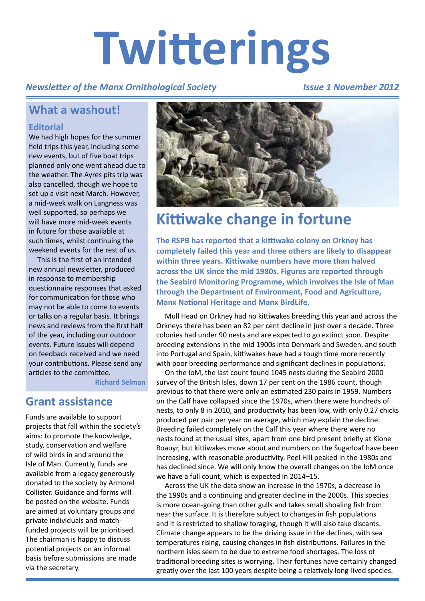# **Twitterings**

### *Newsletter of the Manx Ornithological Society*

#### *Issue 1 November 2012*

## **What a washout!**

#### **Editorial**

We had high hopes for the summer field trips this year, including some new events, but of five boat trips planned only one went ahead due to the weather. The Ayres pits trip was also cancelled, though we hope to set up a visit next March. However, a mid-week walk on Langness was well supported, so perhaps we will have more mid-week events in future for those available at such times, whilst continuing the weekend events for the rest of us.

This is the first of an intended new annual newsletter, produced in response to membership questionnaire responses that asked for communication for those who may not be able to come to events or talks on a regular basis. It brings news and reviews from the first half of the year, including our outdoor events. Future issues will depend on feedback received and we need your contributions. Please send any articles to the committee.

**Richard Selman**

## **Grant assistance**

Funds are available to support projects that fall within the society's aims: to promote the knowledge, study, conservation and welfare of wild birds in and around the Isle of Man. Currently, funds are available from a legacy generously donated to the society by Armorel Collister. Guidance and forms will be posted on the website. Funds are aimed at voluntary groups and private individuals and matchfunded projects will be prioritised. The chairman is happy to discuss potential projects on an informal basis before submissions are made via the secretary.



# **Kittiwake change in fortune**

**The RSPB has reported that a kittiwake colony on Orkney has completely failed this year and three others are likely to disappear within three years. Kittiwake numbers have more than halved across the UK since the mid 1980s. Figures are reported through the Seabird Monitoring Programme, which involves the Isle of Man through the Department of Environment, Food and Agriculture, Manx National Heritage and Manx BirdLife.**

Mull Head on Orkney had no kittiwakes breeding this year and across the Orkneys there has been an 82 per cent decline in just over a decade. Three colonies had under 90 nests and are expected to go extinct soon. Despite breeding extensions in the mid 1900s into Denmark and Sweden, and south into Portugal and Spain, kittiwakes have had a tough time more recently with poor breeding performance and significant declines in populations.

On the IoM, the last count found 1045 nests during the Seabird 2000 survey of the British Isles, down 17 per cent on the 1986 count, though previous to that there were only an estimated 230 pairs in 1959. Numbers on the Calf have collapsed since the 1970s, when there were hundreds of nests, to only 8 in 2010, and productivity has been low, with only 0.27 chicks produced per pair per year on average, which may explain the decline. Breeding failed completely on the Calf this year where there were no nests found at the usual sites, apart from one bird present briefly at Kione Roauyr, but kittiwakes move about and numbers on the Sugarloaf have been increasing, with reasonable productivity. Peel Hill peaked in the 1980s and has declined since. We will only know the overall changes on the IoM once we have a full count, which is expected in 2014–15.

Across the UK the data show an increase in the 1970s, a decrease in the 1990s and a continuing and greater decline in the 2000s. This species is more ocean-going than other gulls and takes small shoaling fish from near the surface. It is therefore subject to changes in fish populations and it is restricted to shallow foraging, though it will also take discards. Climate change appears to be the driving issue in the declines, with sea temperatures rising, causing changes in fish distributions. Failures in the northern isles seem to be due to extreme food shortages. The loss of traditional breeding sites is worrying. Their fortunes have certainly changed greatly over the last 100 years despite being a relatively long-lived species.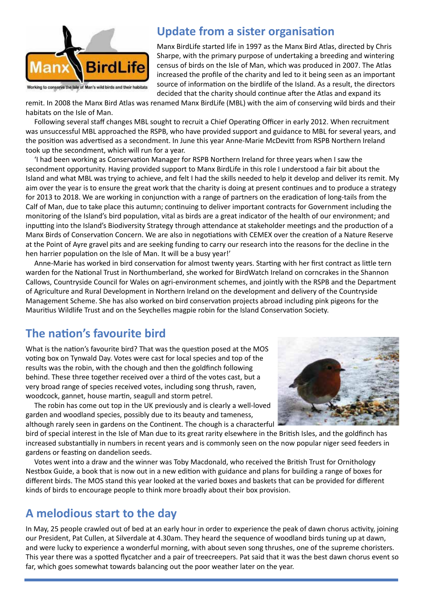

## **Update from a sister organisation**

Manx BirdLife started life in 1997 as the Manx Bird Atlas, directed by Chris Sharpe, with the primary purpose of undertaking a breeding and wintering census of birds on the Isle of Man, which was produced in 2007. The Atlas increased the profile of the charity and led to it being seen as an important source of information on the birdlife of the Island. As a result, the directors decided that the charity should continue after the Atlas and expand its

remit. In 2008 the Manx Bird Atlas was renamed Manx BirdLife (MBL) with the aim of conserving wild birds and their habitats on the Isle of Man.

Following several staff changes MBL sought to recruit a Chief Operating Officer in early 2012. When recruitment was unsuccessful MBL approached the RSPB, who have provided support and guidance to MBL for several years, and the position was advertised as a secondment. In June this year Anne-Marie McDevitt from RSPB Northern Ireland took up the secondment, which will run for a year.

'I had been working as Conservation Manager for RSPB Northern Ireland for three years when I saw the secondment opportunity. Having provided support to Manx BirdLife in this role I understood a fair bit about the Island and what MBL was trying to achieve, and felt I had the skills needed to help it develop and deliver its remit. My aim over the year is to ensure the great work that the charity is doing at present continues and to produce a strategy for 2013 to 2018. We are working in conjunction with a range of partners on the eradication of long-tails from the Calf of Man, due to take place this autumn; continuing to deliver important contracts for Government including the monitoring of the Island's bird population, vital as birds are a great indicator of the health of our environment; and inputting into the Island's Biodiversity Strategy through attendance at stakeholder meetings and the production of a Manx Birds of Conservation Concern. We are also in negotiations with CEMEX over the creation of a Nature Reserve at the Point of Ayre gravel pits and are seeking funding to carry our research into the reasons for the decline in the hen harrier population on the Isle of Man. It will be a busy year!'

Anne-Marie has worked in bird conservation for almost twenty years. Starting with her first contract as little tern warden for the National Trust in Northumberland, she worked for BirdWatch Ireland on corncrakes in the Shannon Callows, Countryside Council for Wales on agri-environment schemes, and jointly with the RSPB and the Department of Agriculture and Rural Development in Northern Ireland on the development and delivery of the Countryside Management Scheme. She has also worked on bird conservation projects abroad including pink pigeons for the Mauritius Wildlife Trust and on the Seychelles magpie robin for the Island Conservation Society.

# **The nation's favourite bird**

What is the nation's favourite bird? That was the question posed at the MOS voting box on Tynwald Day. Votes were cast for local species and top of the results was the robin, with the chough and then the goldfinch following behind. These three together received over a third of the votes cast, but a very broad range of species received votes, including song thrush, raven, woodcock, gannet, house martin, seagull and storm petrel.

The robin has come out top in the UK previously and is clearly a well-loved garden and woodland species, possibly due to its beauty and tameness, although rarely seen in gardens on the Continent. The chough is a characterful



bird of special interest in the Isle of Man due to its great rarity elsewhere in the British Isles, and the goldfinch has increased substantially in numbers in recent years and is commonly seen on the now popular niger seed feeders in gardens or feasting on dandelion seeds.

Votes went into a draw and the winner was Toby Macdonald, who received the British Trust for Ornithology Nestbox Guide, a book that is now out in a new edition with guidance and plans for building a range of boxes for different birds. The MOS stand this year looked at the varied boxes and baskets that can be provided for different kinds of birds to encourage people to think more broadly about their box provision.

# **A melodious start to the day**

In May, 25 people crawled out of bed at an early hour in order to experience the peak of dawn chorus activity, joining our President, Pat Cullen, at Silverdale at 4.30am. They heard the sequence of woodland birds tuning up at dawn, and were lucky to experience a wonderful morning, with about seven song thrushes, one of the supreme choristers. This year there was a spotted flycatcher and a pair of treecreepers. Pat said that it was the best dawn chorus event so far, which goes somewhat towards balancing out the poor weather later on the year.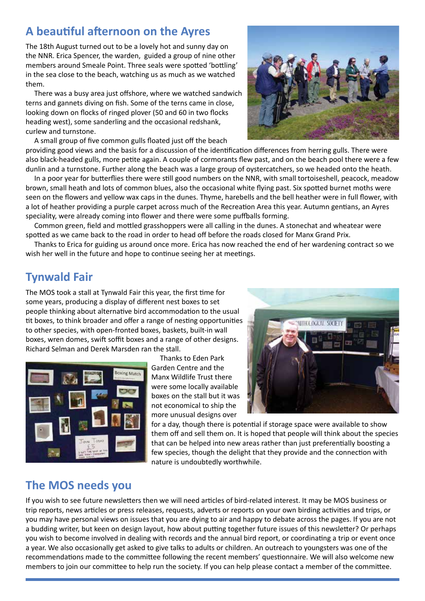## **A beautiful afternoon on the Ayres**

The 18th August turned out to be a lovely hot and sunny day on the NNR. Erica Spencer, the warden, guided a group of nine other members around Smeale Point. Three seals were spotted 'bottling' in the sea close to the beach, watching us as much as we watched them.

There was a busy area just offshore, where we watched sandwich terns and gannets diving on fish. Some of the terns came in close, looking down on flocks of ringed plover (50 and 60 in two flocks heading west), some sanderling and the occasional redshank, curlew and turnstone.

A small group of five common gulls floated just off the beach

providing good views and the basis for a discussion of the identification differences from herring gulls. There were also black-headed gulls, more petite again. A couple of cormorants flew past, and on the beach pool there were a few dunlin and a turnstone. Further along the beach was a large group of oystercatchers, so we headed onto the heath.

In a poor year for butterflies there were still good numbers on the NNR, with small tortoiseshell, peacock, meadow brown, small heath and lots of common blues, also the occasional white flying past. Six spotted burnet moths were seen on the flowers and yellow wax caps in the dunes. Thyme, harebells and the bell heather were in full flower, with a lot of heather providing a purple carpet across much of the Recreation Area this year. Autumn gentians, an Ayres speciality, were already coming into flower and there were some puffballs forming.

Common green, field and mottled grasshoppers were all calling in the dunes. A stonechat and wheatear were spotted as we came back to the road in order to head off before the roads closed for Manx Grand Prix.

Thanks to Erica for guiding us around once more. Erica has now reached the end of her wardening contract so we wish her well in the future and hope to continue seeing her at meetings.

# **Tynwald Fair**

The MOS took a stall at Tynwald Fair this year, the first time for some years, producing a display of different nest boxes to set people thinking about alternative bird accommodation to the usual tit boxes, to think broader and offer a range of nesting opportunities to other species, with open-fronted boxes, baskets, built-in wall boxes, wren domes, swift soffit boxes and a range of other designs. Richard Selman and Derek Marsden ran the stall.



Thanks to Eden Park Garden Centre and the Manx Wildlife Trust there were some locally available boxes on the stall but it was not economical to ship the more unusual designs over



for a day, though there is potential if storage space were available to show them off and sell them on. It is hoped that people will think about the species that can be helped into new areas rather than just preferentially boosting a few species, though the delight that they provide and the connection with nature is undoubtedly worthwhile.

## **The MOS needs you**

If you wish to see future newsletters then we will need articles of bird-related interest. It may be MOS business or trip reports, news articles or press releases, requests, adverts or reports on your own birding activities and trips, or you may have personal views on issues that you are dying to air and happy to debate across the pages. If you are not a budding writer, but keen on design layout, how about putting together future issues of this newsletter? Or perhaps you wish to become involved in dealing with records and the annual bird report, or coordinating a trip or event once a year. We also occasionally get asked to give talks to adults or children. An outreach to youngsters was one of the recommendations made to the committee following the recent members' questionnaire. We will also welcome new members to join our committee to help run the society. If you can help please contact a member of the committee.